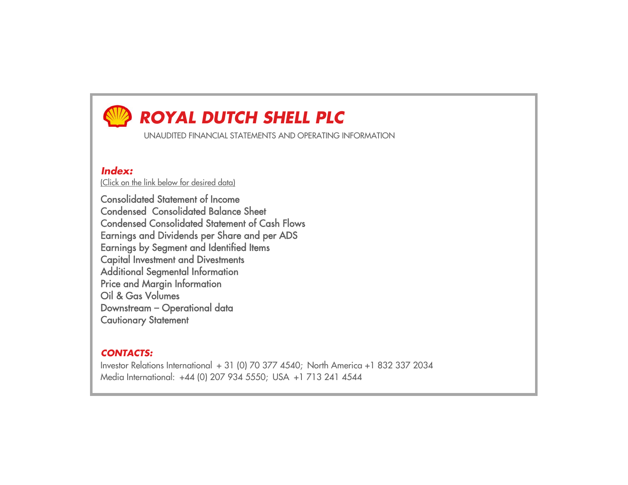# *ROYAL DUTCH SHELL PLC*

UNAUDITED FINANCIAL STATEMENTS AND OPERATING INFORMATION

## *Index:*

(Click on the link below for desired data)

Consolidated Statement of IncomeCondensed Consolidated Balance SheetCondensed Consolidated Statement of Cash FlowsEarnin gs and Dividends per Share and per ADS Earnin gs b y Se gment and Identified Items Ca <sup>p</sup>ital Investment and Divestments Additional Se gmental Information Price and Mar <sup>g</sup>in Information Oil & Gas Volumes Downstream – O perational data Cautionary Statement

# *CONTACTS:*

Investor Relations International + 31 (0) 70 377 4540; North America +1 832 337 2034 Media International: +44 (0) 207 934 5550; USA +1 713 241 4544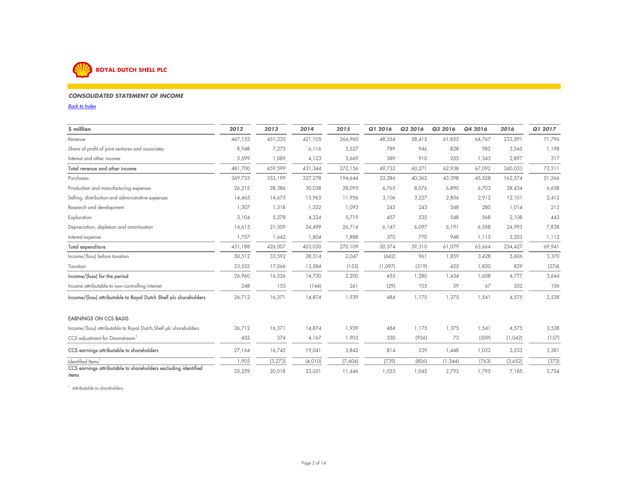

### *CONSOLIDATED STATEMENT OF INCOME*

*Back to Index*

| \$ million                                                              | 2012    | 2013     | 2014    | 2015    | Q1 2016 | Q2 2016 | Q3 2016  | Q4 2016 | 2016    | Q1 2017 |
|-------------------------------------------------------------------------|---------|----------|---------|---------|---------|---------|----------|---------|---------|---------|
| Revenue                                                                 | 467,153 | 451,235  | 421,105 | 264,960 | 48,554  | 58,415  | 61,855   | 64,767  | 233,591 | 71,796  |
| Share of profit of joint ventures and associates                        | 8,948   | 7,275    | 6,116   | 3,527   | 789     | 946     | 828      | 982     | 3,545   | 1,198   |
| Interest and other income                                               | 5,599   | 1,089    | 4,123   | 3,669   | 389     | 910     | 255      | 1,343   | 2,897   | 317     |
| Total revenue and other income                                          | 481,700 | 459,599  | 431,344 | 272,156 | 49,732  | 60,271  | 62,938   | 67,092  | 240,033 | 73,311  |
| Purchases                                                               | 369,725 | 353,199  | 327,278 | 194,644 | 33,286  | 40,362  | 43,398   | 45,528  | 162,574 | 51,266  |
| Production and manufacturing expenses                                   | 26,215  | 28,386   | 30,038  | 28,095  | 6,765   | 8,076   | 6,890    | 6,703   | 28,434  | 6,658   |
| Selling, distribution and administrative expenses                       | 14,465  | 14,675   | 13,965  | 11,956  | 3,106   | 3,227   | 2,856    | 2,912   | 12,101  | 2,412   |
| Research and development                                                | 1,307   | 1,318    | 1,222   | 1,093   | 243     | 243     | 248      | 280     | 1,014   | 212     |
| Exploration                                                             | 3,104   | 5,278    | 4,224   | 5,719   | 457     | 535     | 548      | 568     | 2,108   | 443     |
| Depreciation, depletion and amortisation                                | 14,615  | 21,509   | 24,499  | 26,714  | 6,147   | 6,097   | 6,191    | 6,558   | 24,993  | 7,838   |
| Interest expense                                                        | 1,757   | 1,642    | 1,804   | 1,888   | 370     | 770     | 948      | 1,115   | 3,203   | 1,112   |
| Total expenditure                                                       | 431,188 | 426,007  | 403,030 | 270,109 | 50,374  | 59,310  | 61,079   | 63,664  | 234,427 | 69,941  |
| Income/(loss) before taxation                                           | 50,512  | 33,592   | 28,314  | 2,047   | (642)   | 961     | 1,859    | 3,428   | 5,606   | 3,370   |
| Taxation                                                                | 23,552  | 17,066   | 13,584  | (153)   | (1,097) | (319)   | 425      | 1,820   | 829     | (274)   |
| Income/(loss) for the period                                            | 26,960  | 16,526   | 14,730  | 2,200   | 455     | 1,280   | 1,434    | 1,608   | 4,777   | 3,644   |
| Income attributable to non-controlling interest                         | 248     | 155      | (144)   | 261     | (29)    | 105     | 59       | 67      | 202     | 106     |
| Income/(loss) attributable to Royal Dutch Shell plc shareholders        | 26,712  | 16,371   | 14,874  | 1,939   | 484     | 1,175   | 1,375    | 1,541   | 4,575   | 3,538   |
| <b>EARNINGS ON CCS BASIS</b>                                            |         |          |         |         |         |         |          |         |         |         |
| Income/(loss) attributable to Royal Dutch Shell plc shareholders        | 26,712  | 16,371   | 14,874  | 1,939   | 484     | 1,175   | 1,375    | 1,541   | 4,575   | 3,538   |
| CCS adjustment for Downstream <sup>1</sup>                              | 452     | 374      | 4,167   | 1,903   | 330     | (936)   | 73       | (509)   | (1,042) | (157)   |
| CCS earnings attributable to shareholders                               | 27,164  | 16,745   | 19,041  | 3,842   | 814     | 239     | 1,448    | 1,032   | 3,533   | 3,381   |
| Identified Items                                                        | 1,905   | (3, 273) | (4,010) | (7,604) | (739)   | (806)   | (1, 344) | (763)   | (3,652) | (373)   |
| CCS earnings attributable to shareholders excluding identified<br>items | 25,259  | 20,018   | 23,051  | 11,446  | 1,553   | 1,045   | 2,792    | 1,795   | 7,185   | 3,754   |

<sup>1</sup> Attributable to shareholders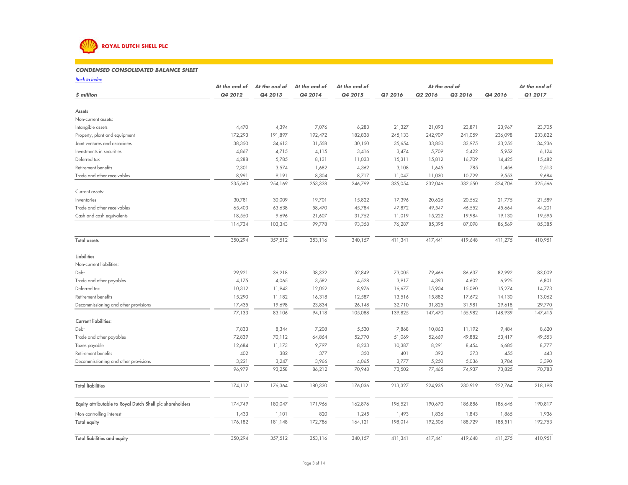

### *CONDENSED CONSOLIDATED BALANCE SHEET*80 90 100 110 117

*Back to IndexAt the end of \$ million Q4 2012 Q4 2013 Q4 2014 Q4 2015 Q1 2016 Q2 2016 Q3 2016 Q4 2016 Q1 2017* Assets Non-current assets:Intangible assets 4,470 4,394 7,076 6,283 21,327 21,093 23,871 23,967 23,705 Property, plant and equipment 172,293 191,897 192,472 182,838 245,133 242,907 241,059 236,098 233,822 Joint ventures and associates 38,350 34,613 31,558 30,150 35,654 33,850 33,975 33,255 34,236 Investments in securities 4,867 4,715 4,115 3,416 3,474 5,709 5,422 5,952 6,124 Deferred tax 4,288 5,785 8,131 11,033 15,311 15,812 16,709 14,425 15,482 Retirement benefits 2,301 3,574 1,682 4,362 3,108 1,645 785 1,456 2,513 Trade and other receivables 8,991 9,191 8,304 8,717 11,047 11,030 10,729 9,553 9,684 235,560 254,169 253,338 246,799 335,054 332,046 332,550 324,706 325,566 Current assets: Inventories 30,781 30,009 19,701 15,822 17,396 20,626 20,562 21,775 21,589 Trade and other receivables 65,403 63,638 58,470 45,784 47,872 49,547 46,552 45,664 44,201 Cash and cash equivalents 18,550 9,696 21,607 31,752 11,019 15,222 19,984 19,130 19,595 114,734 103,343 99,778 93,358 76,287 85,395 87,098 86,569 85,385 Total assets 350,294 357,512 353,116 340,157 411,341 417,441 419,648 411,275 410,951 LiabilitiesNon-current liabilities: Debt 29,921 36,218 38,332 52,849 73,005 79,466 86,637 82,992 83,009 Trade and other payables 4,175 4,065 3,582 4,528 4,393 4,602 6,925 6,801 Deferred tax 10,312 11,943 12,052 8,976 16,677 15,904 15,090 15,274 14,773 Retirement benefits 15,290 11,182 16,318 12,587 13,516 15,882 17,672 14,130 13,062 Decommissioning and other provisions 17,435 19,698 23,834 26,148 32,710 31,825 31,981 29,618 29,770 77,133 83,106 94,118 105,088 139,825 147,470 155,982 148,939 147,415 Current liabilities:Debt 7,833 8,344 7,208 5,530 7,868 10,863 11,192 9,484 8,620 Trade and other payables 72,839 70,112 64,864 52,770 51,069 52,669 49,882 53,417 49,553 Taxes payable 12,684 11,173 9,797 8,233 10,387 8,291 8,454 6,685 8,777 Retirement benefits 402 382 377 350 401 392 373 455 443 443 Decommissioning and other provisions 3,221 3,247 3,966 4,065 3,777 5,250 5,036 3,784 3,390 96,979 93,258 86,212 70,948 73,502 77,465 74,937 73,825 70,783 Total liabilities 174,112 176,364 180,330 176,036 213,327 224,935 230,919 222,764 218,198 Equity attributable to Royal Dutch Shell plc shareholders 174,749 180,047 171,966 162,876 196,521 190,670 186,886 186,646 190,817 Non-controlling interest 1,433 1,101 820 1,245 1,893 1,836 1,843 1,865 1,936 Total equity 176,182 181,148 172,786 164,121 198,014 192,506 188,729 188,511 192,753 *At the end ofAt the end of At the end of At the end of At the end of*

Total liabilities and equity 350,294 357,512 353,116 410,57 411,341 417,441 419,648 411,275 410,951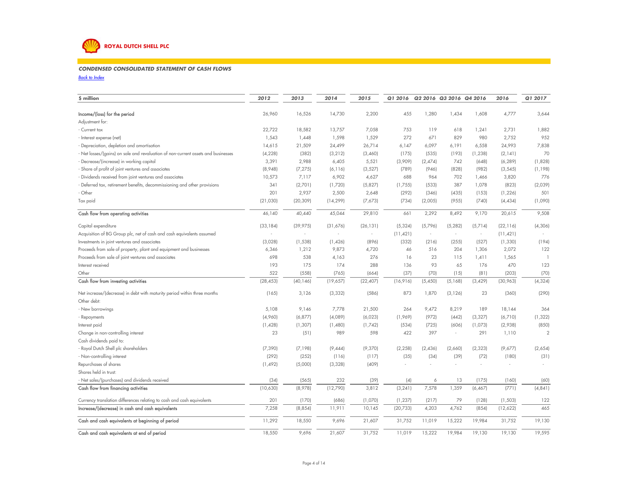

### *CONDENSED CONSOLIDATED STATEMENT OF CASH FLOWS* $\mathcal{S}$

### *Back to Index*

| \$ million                                                                      | 2012      | 2013      | 2014      | 2015                     | Q1 2016   |         | Q2 2016 Q3 2016 Q4 2016 |          | 2016      | Q1 2017        |
|---------------------------------------------------------------------------------|-----------|-----------|-----------|--------------------------|-----------|---------|-------------------------|----------|-----------|----------------|
| Income/(loss) for the period                                                    | 26,960    | 16,526    | 14,730    | 2,200                    | 455       | 1,280   | 1,434                   | 1,608    | 4,777     | 3,644          |
| Adjustment for:                                                                 |           |           |           |                          |           |         |                         |          |           |                |
| Current tax                                                                     | 22,722    | 18,582    | 13,757    | 7,058                    | 753       | 119     | 618                     | 1,241    | 2,731     | 1,882          |
| Interest expense (net)                                                          | 1,543     | 1,448     | 1,598     | 1,529                    | 272       | 671     | 829                     | 980      | 2,752     | 952            |
| Depreciation, depletion and amortisation                                        | 14,615    | 21,509    | 24,499    | 26,714                   | 6,147     | 6,097   | 6,191                   | 6,558    | 24,993    | 7,838          |
| Net losses/(gains) on sale and revaluation of non-current assets and businesses | (4, 228)  | (382)     | (3, 212)  | (3,460)                  | (175)     | (535)   | (193)                   | (1, 238) | (2, 141)  | 70             |
| Decrease/(increase) in working capital                                          | 3,391     | 2,988     | 6,405     | 5,521                    | (3,909)   | (2,474) | 742                     | (648)    | (6, 289)  | (1,828)        |
| Share of profit of joint ventures and associates                                | (8,948)   | (7, 275)  | (6, 116)  | (3, 527)                 | (789)     | (946)   | (828)                   | (982)    | (3, 545)  | (1, 198)       |
| Dividends received from joint ventures and associates                           | 10,573    | 7,117     | 6,902     | 4,627                    | 688       | 964     | 702                     | 1,466    | 3,820     | 776            |
| Deferred tax, retirement benefits, decommissioning and other provisions         | 341       | (2,701)   | (1,720)   | (5,827)                  | (1,755)   | (533)   | 387                     | 1,078    | (823)     | (2,039)        |
| Other                                                                           | 201       | 2,937     | 2,500     | 2,648                    | (292)     | (346)   | (435)                   | (153)    | (1, 226)  | 501            |
| Tax paid                                                                        | (21,030)  | (20, 309) | (14, 299) | (7,673)                  | (734)     | (2,005) | (955)                   | (740)    | (4, 434)  | (1,090)        |
| Cash flow from operating activities                                             | 46,140    | 40,440    | 45,044    | 29,810                   | 661       | 2,292   | 8,492                   | 9,170    | 20,615    | 9,508          |
| Capital expenditure                                                             | (33, 184) | (39, 975) | (31,676)  | (26, 131)                | (5, 324)  | (5,796) | (5, 282)                | (5,714)  | (22, 116) | (4, 306)       |
| Acquisition of BG Group plc, net of cash and cash equivalents assumed           |           | ×,        | ×.        | $\overline{\phantom{a}}$ | (11, 421) | $\sim$  | ×                       | $\sim$   | (11, 421) |                |
| Investments in joint ventures and associates                                    | (3,028)   | (1, 538)  | (1,426)   | (896)                    | (332)     | (216)   | (255)                   | (527)    | (1, 330)  | (194)          |
| Proceeds from sale of property, plant and equipment and businesses              | 6,346     | 1,212     | 9,873     | 4,720                    | 46        | 516     | 204                     | 1,306    | 2,072     | 122            |
| Proceeds from sale of joint ventures and associates                             | 698       | 538       | 4,163     | 276                      | 16        | 23      | 115                     | 1,411    | 1,565     |                |
| Interest received                                                               | 193       | 175       | 174       | 288                      | 136       | 93      | 65                      | 176      | 470       | 123            |
| Other                                                                           | 522       | (558)     | (765)     | (664)                    | (37)      | (70)    | (15)                    | (81)     | (203)     | (70)           |
| Cash flow from investing activities                                             | (28, 453) | (40, 146) | (19,657)  | (22, 407)                | (16, 916) | (5,450) | (5, 168)                | (3,429)  | (30, 963) | (4, 324)       |
| Net increase/(decrease) in debt with maturity period within three months        | (165)     | 3,126     | (3, 332)  | (586)                    | 873       | 1,870   | (3, 126)                | 23       | (360)     | (290)          |
| Other debt:                                                                     |           |           |           |                          |           |         |                         |          |           |                |
| New borrowings                                                                  | 5,108     | 9,146     | 7,778     | 21,500                   | 264       | 9,472   | 8,219                   | 189      | 18,144    | 364            |
| Repayments                                                                      | (4,960)   | (6, 877)  | (4,089)   | (6,023)                  | (1,969)   | (972)   | (442)                   | (3, 327) | (6,710)   | (1, 322)       |
| Interest paid                                                                   | (1,428)   | (1, 307)  | (1,480)   | (1,742)                  | (534)     | (725)   | (606)                   | (1,073)  | (2,938)   | (850)          |
| Change in non-controlling interest                                              | 23        | (51)      | 989       | 598                      | 422       | 397     | ٠                       | 291      | 1,110     | $\overline{2}$ |
| Cash dividends paid to:                                                         |           |           |           |                          |           |         |                         |          |           |                |
| Royal Dutch Shell plc shareholders                                              | (7, 390)  | (7, 198)  | (9,444)   | (9,370)                  | (2, 258)  | (2,436) | (2,660)                 | (2, 323) | (9,677)   | (2,654)        |
| Non-controlling interest                                                        | (292)     | (252)     | (116)     | (117)                    | (35)      | (34)    | (39)                    | (72)     | (180)     | (31)           |
| Repurchases of shares                                                           | (1, 492)  | (5,000)   | (3, 328)  | (409)                    |           |         |                         |          |           |                |
| Shares held in trust:                                                           |           |           |           |                          |           |         |                         |          |           |                |
| - Net sales/(purchases) and dividends received                                  | (34)      | (565)     | 232       | (39)                     | (4)       | 6       | 13                      | (175)    | (160)     | (60)           |
| Cash flow from financing activities                                             | (10,630)  | (8,978)   | (12,790)  | 3,812                    | (3, 241)  | 7,578   | 1,359                   | (6, 467) | (771)     | (4, 841)       |
| Currency translation differences relating to cash and cash equivalents          | 201       | (170)     | (686)     | (1,070)                  | (1, 237)  | (217)   | 79                      | (128)    | (1,503)   | 122            |
| Increase/(decrease) in cash and cash equivalents                                | 7,258     | (8, 854)  | 11,911    | 10,145                   | (20, 733) | 4,203   | 4,762                   | (854)    | (12,622)  | 465            |
| Cash and cash equivalents at beginning of period                                | 11,292    | 18,550    | 9,696     | 21,607                   | 31,752    | 11,019  | 15,222                  | 19,984   | 31,752    | 19,130         |
| Cash and cash equivalents at end of period                                      | 18,550    | 9,696     | 21,607    | 31,752                   | 11,019    | 15,222  | 19,984                  | 19,130   | 19,130    | 19,595         |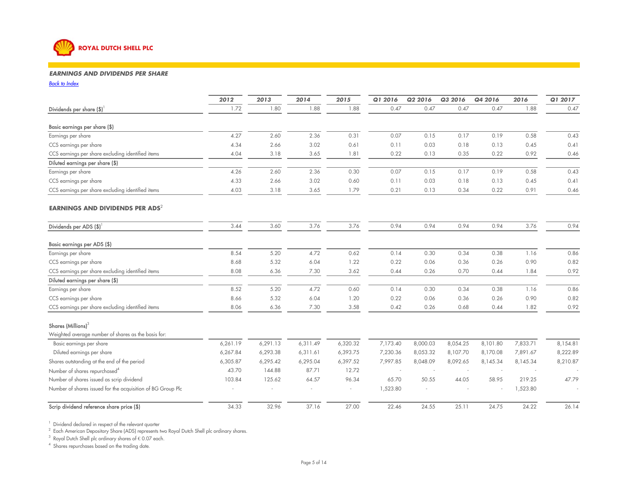

### *EARNINGS AND DIVIDENDS PER SHARE* $80$  90  $100$  110  $100$  120  $100$  120  $100$

*Back to Index* $\mathbf{x}$ 

|                                                             | 2012     | 2013     | 2014     | 2015     | Q1 2016  | Q2 2016  | Q3 2016  | Q4 2016  | 2016     | Q1 2017  |
|-------------------------------------------------------------|----------|----------|----------|----------|----------|----------|----------|----------|----------|----------|
| Dividends per share (\$)                                    | 1.72     | 1.80     | 1.88     | 1.88     | 0.47     | 0.47     | 0.47     | 0.47     | 1.88     | 0.47     |
| Basic earnings per share (\$)                               |          |          |          |          |          |          |          |          |          |          |
| Earnings per share                                          | 4.27     | 2.60     | 2.36     | 0.31     | 0.07     | 0.15     | 0.17     | 0.19     | 0.58     | 0.43     |
| CCS earnings per share                                      | 4.34     | 2.66     | 3.02     | 0.61     | 0.11     | 0.03     | 0.18     | 0.13     | 0.45     | 0.41     |
| CCS earnings per share excluding identified items           | 4.04     | 3.18     | 3.65     | 1.81     | 0.22     | 0.13     | 0.35     | 0.22     | 0.92     | 0.46     |
| Diluted earnings per share (\$)                             |          |          |          |          |          |          |          |          |          |          |
| Earnings per share                                          | 4.26     | 2.60     | 2.36     | 0.30     | 0.07     | 0.15     | 0.17     | 0.19     | 0.58     | 0.43     |
| CCS earnings per share                                      | 4.33     | 2.66     | 3.02     | 0.60     | 0.11     | 0.03     | 0.18     | 0.13     | 0.45     | 0.41     |
| CCS earnings per share excluding identified items           | 4.03     | 3.18     | 3.65     | 1.79     | 0.21     | 0.13     | 0.34     | 0.22     | 0.91     | 0.46     |
| EARNINGS AND DIVIDENDS PER ADS <sup>2</sup>                 |          |          |          |          |          |          |          |          |          |          |
| Dividends per ADS $(\$)^{1}$                                | 3.44     | 3.60     | 3.76     | 3.76     | 0.94     | 0.94     | 0.94     | 0.94     | 3.76     | 0.94     |
| Basic earnings per ADS (\$)                                 |          |          |          |          |          |          |          |          |          |          |
| Earnings per share                                          | 8.54     | 5.20     | 4.72     | 0.62     | 0.14     | 0.30     | 0.34     | 0.38     | 1.16     | 0.86     |
| CCS earnings per share                                      | 8.68     | 5.32     | 6.04     | 1.22     | 0.22     | 0.06     | 0.36     | 0.26     | 0.90     | 0.82     |
| CCS earnings per share excluding identified items           | 8.08     | 6.36     | 7.30     | 3.62     | 0.44     | 0.26     | 0.70     | 0.44     | 1.84     | 0.92     |
| Diluted earnings per share (\$)                             |          |          |          |          |          |          |          |          |          |          |
| Earnings per share                                          | 8.52     | 5.20     | 4.72     | 0.60     | 0.14     | 0.30     | 0.34     | 0.38     | 1.16     | 0.86     |
| CCS earnings per share                                      | 8.66     | 5.32     | 6.04     | 1.20     | 0.22     | 0.06     | 0.36     | 0.26     | 0.90     | 0.82     |
| CCS earnings per share excluding identified items           | 8.06     | 6.36     | 7.30     | 3.58     | 0.42     | 0.26     | 0.68     | 0.44     | 1.82     | 0.92     |
| Shares (Millions) <sup>3</sup>                              |          |          |          |          |          |          |          |          |          |          |
| Weighted average number of shares as the basis for:         |          |          |          |          |          |          |          |          |          |          |
| Basic earnings per share                                    | 6,261.19 | 6,291.13 | 6,311.49 | 6,320.32 | 7,173.40 | 8,000.03 | 8,054.25 | 8,101.80 | 7,833.71 | 8,154.81 |
| Diluted earnings per share                                  | 6,267.84 | 6,293.38 | 6,311.61 | 6,393.75 | 7,230.36 | 8,053.32 | 8,107.70 | 8,170.08 | 7,891.67 | 8,222.89 |
| Shares outstanding at the end of the period                 | 6,305.87 | 6,295.42 | 6,295.04 | 6,397.52 | 7,997.85 | 8,048.09 | 8,092.65 | 8,145.34 | 8,145.34 | 8,210.87 |
| Number of shares repurchased <sup>4</sup>                   | 43.70    | 144.88   | 87.71    | 12.72    |          |          |          |          |          |          |
| Number of shares issued as scrip dividend                   | 103.84   | 125.62   | 64.57    | 96.34    | 65.70    | 50.55    | 44.05    | 58.95    | 219.25   | 47.79    |
| Number of shares issued for the acquisition of BG Group Plc |          |          |          |          | 1,523.80 |          |          |          | 1,523.80 |          |
| Scrip dividend reference share price (\$)                   | 34.33    | 32.96    | 37.16    | 27.00    | 22.46    | 24.55    | 25.11    | 24.75    | 24.22    | 26.14    |

 $1$  Dividend declared in respect of the relevant quarter

 $^2\,$  Each American Depositary Share (ADS) represents two Royal Dutch Shell plc ordinary shares.

 $3 \text{ Royal Dutch Shell}$  plc ordinary shares of  $\in$  0.07 each.

4 Shares repurchases based on the trading date.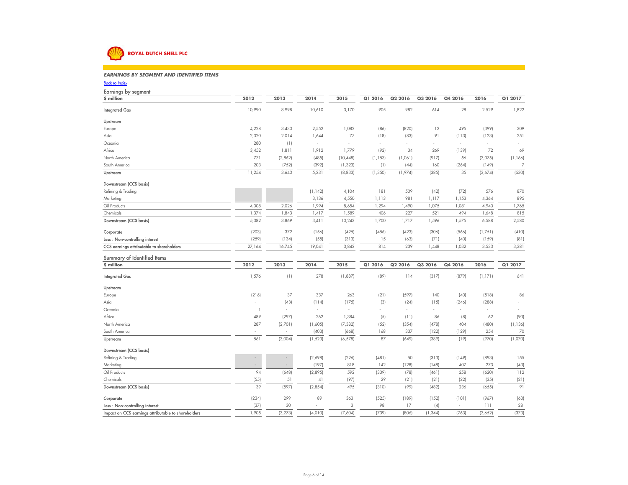

### *EARNINGS BY SEGMENT AND IDENTIFIED ITEMS* $\mathcal{S}$

*Back to Index*

| Earnings by segment                                                                   |                |                          |          |              |             |             |         |         |                |                |
|---------------------------------------------------------------------------------------|----------------|--------------------------|----------|--------------|-------------|-------------|---------|---------|----------------|----------------|
| \$ million                                                                            | 2012           | 2013                     | 2014     | 2015         | Q1 2016     | Q2 2016     | Q3 2016 | Q4 2016 | 2016           | Q1 2017        |
| <b>Integrated Gas</b>                                                                 | 10,990         | 8,998                    | 10,610   | 3,170        | 905         | 982         | 614     | 28      | 2,529          | 1,822          |
| Upstream                                                                              |                |                          |          |              |             |             |         |         |                |                |
| Europe                                                                                | 4,228          | 3,430                    | 2,552    | 1,082        | (86)        | (820)       | 12      | 495     | (399)          | 309            |
| Asia                                                                                  | 2,320          | 2,014                    | 1,644    | 77           | (18)        | (83)        | 91      | (113)   | (123)          | 251            |
| Oceania                                                                               | 280            | (1)                      |          | í,           | ÷.          |             |         | ×       |                |                |
| Africa                                                                                | 3,452          | 1,811                    | 1,912    | 1,779        | (92)        | 34          | 269     | (139)   | 72             | 69             |
| North America                                                                         | 771            | (2,862)                  | (485)    | (10, 448)    | (1, 153)    | (1,061)     | (917)   | 56      | (3,075)        | (1, 166)       |
| South America                                                                         | 203            | (752)                    | (392)    | (1, 323)     | (1)         | (44)        | 160     | (264)   | (149)          | $\overline{7}$ |
| Upstream                                                                              | 11,254         | 3,640                    | 5,231    | (8, 833)     | (1, 350)    | (1,974)     | (385)   | 35      | (3,674)        | (530)          |
| Downstream (CCS basis)                                                                |                |                          |          |              |             |             |         |         |                |                |
| Refining & Trading                                                                    |                |                          | (1, 142) | 4,104        | 181         | 509         | (42)    | (72)    | 576            | 870            |
| Marketing                                                                             |                |                          | 3,136    | 4,550        | 1,113       | 981         | 1,117   | 1,153   | 4,364          | 895            |
| Oil Products                                                                          | 4,008          | 2,026                    | 1,994    | 8,654        | 1,294       | 1,490       | 1,075   | 1,081   | 4,940          | 1,765          |
| Chemicals                                                                             | 1,374          | 1,843                    | 1,417    | 1,589        | 406         | 227         | 521     | 494     | 1,648          | 815            |
| Downstream (CCS basis)                                                                | 5,382          | 3,869                    | 3,411    | 10,243       | 1,700       | 1,717       | 1,596   | 1,575   | 6,588          | 2,580          |
| Corporate                                                                             | (203)          | 372                      | (156)    | (425)        | (456)       | (423)       | (306)   | (566)   | (1,751)        | (410)          |
| Less: Non-controlling interest                                                        | (259)          | (134)                    | (55)     | (313)        | 15          | (63)        | (71)    | (40)    | (159)          | (81)           |
| CCS earnings attributable to shareholders                                             | 27,164         | 16,745                   | 19,041   | 3,842        | 814         | 239         | 1,448   | 1,032   | 3,533          | 3,381          |
|                                                                                       |                |                          |          |              |             |             |         |         |                |                |
| Summary of Identified Items                                                           |                |                          |          |              |             |             |         |         |                |                |
| \$ million                                                                            | 2012           | 2013                     | 2014     | 2015         | Q1 2016     | Q2 2016     | Q3 2016 | Q4 2016 | 2016           | Q1 2017        |
| <b>Integrated Gas</b>                                                                 | 1,576          | (1)                      | 278      | (1,887)      | (89)        | 114         | (317)   | (879)   | (1, 171)       | 641            |
| Upstream                                                                              |                |                          |          |              |             |             |         |         |                |                |
| Europe                                                                                | (216)          | 37                       | 337      | 263          | (21)        | (597)       | 140     | (40)    | (518)          | 86             |
| Asia                                                                                  | ÷.             | (43)                     | (114)    | (175)        | (3)         | (24)        | (15)    | (246)   | (288)          |                |
| Oceania                                                                               | $\overline{1}$ | ÷                        | ÷.       | ÷.           | ÷.          | ÷.          | $\sim$  | $\sim$  |                |                |
| Africa                                                                                | 489            | (297)                    | 262      | 1,384        | (5)         | (11)        | 86      | (8)     | 62             | (90)           |
| North America                                                                         | 287            | (2,701)                  | (1,605)  | (7, 382)     | (52)        | (354)       | (478)   | 404     | (480)          | (1, 136)       |
| South America                                                                         |                |                          | (403)    | (668)        | 168         | 337         | (122)   | (129)   | 254            | 70             |
| Upstream                                                                              | 561            | (3,004)                  | (1, 523) | (6, 578)     | 87          | (649)       | (389)   | (19)    | (970)          | (1,070)        |
| Downstream (CCS basis)                                                                |                |                          |          |              |             |             |         |         |                |                |
| Refining & Trading                                                                    |                | $\overline{\phantom{a}}$ | (2,698)  | (226)        | (481)       | 50          | (313)   | (149)   | (893)          | 155            |
| Marketing                                                                             | $\sim$         | $\sim$                   | (197)    | 818          | 142         | (128)       | (148)   | 407     | 273            | (43)           |
| Oil Products                                                                          | 94             | (648)                    | (2,895)  | 592          | (339)       | (78)        | (461)   | 258     | (620)          | 112            |
| Chemicals                                                                             | (55)           | 51                       | 41       | (97)         | 29          | (21)        | (21)    | (22)    | (35)           | (21)           |
| Downstream (CCS basis)                                                                | 39             | (597)                    | (2,854)  | 495          | (310)       | (99)        | (482)   | 236     | (6.55)         | 91             |
| Corporate                                                                             | (234)          | 299                      | 89       | 363          | (525)       | (189)       | (152)   | (101)   | (967)          | (63)           |
| Less: Non-controlling interest<br>Impact on CCS earnings attributable to shareholders | (37)<br>1,905  | 30<br>(3, 273)           | (4,010)  | 3<br>(7,604) | 98<br>(739) | 17<br>(806) | (4)     | (763)   | 111<br>(3,652) | 28<br>(373)    |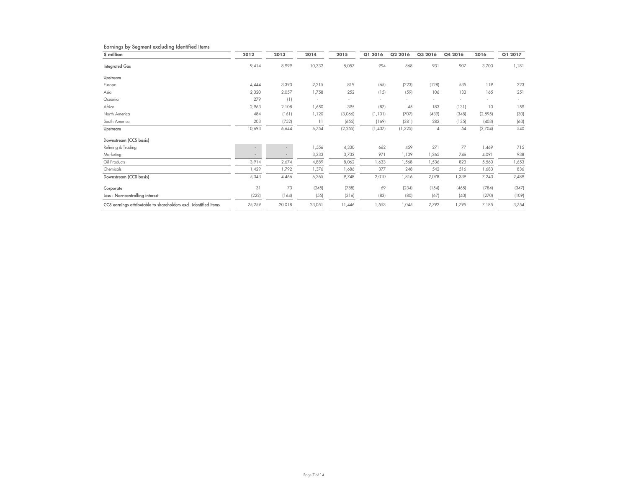| Earnings by Segment excluding Identified Items                   |        |                          |        |          |          |          |                |         |          |         |
|------------------------------------------------------------------|--------|--------------------------|--------|----------|----------|----------|----------------|---------|----------|---------|
| \$ million                                                       | 2012   | 2013                     | 2014   | 2015     | Q1 2016  | Q2 2016  | Q3 2016        | Q4 2016 | 2016     | Q1 2017 |
| <b>Integrated Gas</b>                                            | 9,414  | 8,999                    | 10,332 | 5,057    | 994      | 868      | 931            | 907     | 3,700    | 1,181   |
| Upstream                                                         |        |                          |        |          |          |          |                |         |          |         |
| Europe                                                           | 4,444  | 3,393                    | 2,215  | 819      | (65)     | (223)    | (128)          | 535     | 119      | 223     |
| Asia                                                             | 2,320  | 2,057                    | 1,758  | 252      | (15)     | (59)     | 106            | 133     | 165      | 251     |
| Oceania                                                          | 279    | (1)                      |        |          | $\sim$   |          |                | $\sim$  | ٠        |         |
| Africa                                                           | 2,963  | 2,108                    | 1,650  | 395      | (87)     | 45       | 183            | (131)   | 10       | 159     |
| North America                                                    | 484    | (161)                    | 1,120  | (3,066)  | (1, 101) | (707)    | (439)          | (348)   | (2, 595) | (30)    |
| South America                                                    | 203    | (752)                    | 11     | (655)    | (169)    | (381)    | 282            | (135)   | (403)    | (63)    |
| Upstream                                                         | 10,693 | 6,644                    | 6,754  | (2, 255) | (1, 437) | (1, 325) | $\overline{4}$ | 54      | (2,704)  | 540     |
| Downstream (CCS basis)                                           |        |                          |        |          |          |          |                |         |          |         |
| Refining & Trading                                               |        | $\overline{\phantom{a}}$ | 1,556  | 4,330    | 662      | 459      | 271            | 77      | 1,469    | 715     |
| Marketing                                                        | $\sim$ | $\overline{\phantom{a}}$ | 3,333  | 3,732    | 971      | 1,109    | 1,265          | 746     | 4,091    | 938     |
| Oil Products                                                     | 3,914  | 2,674                    | 4,889  | 8,062    | 1,633    | 1,568    | 1,536          | 823     | 5,560    | 1,653   |
| Chemicals                                                        | ,429   | 1,792                    | 1,376  | 1,686    | 377      | 248      | 542            | 516     | 1,683    | 836     |
| Downstream (CCS basis)                                           | 5,343  | 4,466                    | 6,265  | 9,748    | 2,010    | 1,816    | 2,078          | 1,339   | 7,243    | 2,489   |
| Corporate                                                        | 31     | 73                       | (245)  | (788)    | 69       | (234)    | (154)          | (465)   | (784)    | (347)   |
| Less: Non-controlling interest                                   | (222)  | (164)                    | (55)   | (316)    | (83)     | (80)     | (67)           | (40)    | (270)    | (109)   |
| CCS earnings attributable to shareholders excl. identified items | 25,259 | 20,018                   | 23,051 | 11,446   | 1,553    | 1,045    | 2,792          | 1,795   | 7,185    | 3,754   |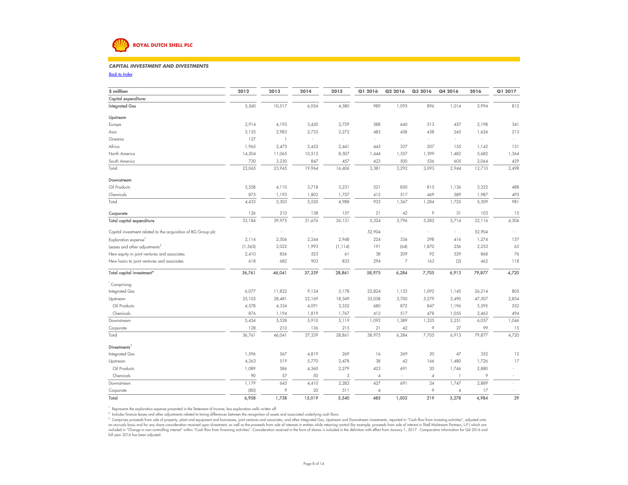# **ROYAL DUTCH SHELL PLC**

#### *CAPITAL INVESTMENT AND DIVESTMENTS* $\mathcal{S}$

*Back to Index*

| \$ million                                                    | 2012     | 2013           | 2014   | 2015     | Q1 2016        | Q2 2016                  | Q3 2016        | Q4 2016        | 2016   | Q1 2017 |
|---------------------------------------------------------------|----------|----------------|--------|----------|----------------|--------------------------|----------------|----------------|--------|---------|
| Capital expenditure:                                          |          |                |        |          |                |                          |                |                |        |         |
| <b>Integrated Gas</b>                                         | 5,560    | 10,517         | 6,054  | 4,580    | 989            | 1,095                    | 896            | 1,014          | 3,994  | 812     |
| Upstream                                                      |          |                |        |          |                |                          |                |                |        |         |
| Europe                                                        | 2,914    | 4,193          | 3,420  | 2,729    | 588            | 640                      | 513            | 457            | 2,198  | 341     |
| Asia                                                          | 3,125    | 2,983          | 2,733  | 2,272    | 483            | 458                      | 438            | 245            | 1,624  | 213     |
| Oceania                                                       | 127      | $\overline{1}$ | ×.     | ÷        |                | ÷.                       | $\sim$         | ÷              |        |         |
| Africa                                                        | 1,965    | 2,473          | 2,452  | 2,441    | 443            | 337                      | 207            | 155            | 1,142  | 151     |
| North America                                                 | 14,204   | 11,065         | 10,512 | 8,507    | 1,444          | 1,357                    | 1,399          | 1,482          | 5,682  | 1,364   |
| South America                                                 | 730      | 3,230          | 847    | 457      | 423            | 500                      | 536            | 605            | 2,064  | 429     |
| Total                                                         | 23,065   | 23,945         | 19,964 | 16,406   | 3,381          | 3,292                    | 3,093          | 2,944          | 12,710 | 2,498   |
| Downstream                                                    |          |                |        |          |                |                          |                |                |        |         |
| Oil Products                                                  | 3,558    | 4,110          | 3,718  | 3,231    | 521            | 850                      | 815            | 1,136          | 3,322  | 488     |
| Chemicals                                                     | 875      | 1,193          | 1,802  | 1,757    | 412            | 517                      | 469            | 589            | 1,987  | 493     |
| Total                                                         | 4,433    | 5,303          | 5,520  | 4,988    | 933            | 1,367                    | 1,284          | 1,725          | 5,309  | 981     |
| Corporate                                                     | 126      | 210            | 138    | 157      | 21             | 42                       | 9              | 31             | 103    | 15      |
| Total capital expenditure                                     | 33,184   | 39,975         | 31,676 | 26,131   | 5,324          | 5,796                    | 5,282          | 5,714          | 22,116 | 4,306   |
| Capital investment related to the acquisition of BG Group plc | ÷,       | J.             | ÷,     | ×,       | 52,904         | $\sim$                   |                | ÷              | 52,904 |         |
| Exploration expense                                           | 2,114    | 2,506          | 2,244  | 2,948    | 224            | 336                      | 298            | 416            | 1,274  | 157     |
| Leases and other adjustments <sup>2</sup>                     | (1, 565) | 2,022          | 1,993  | (1, 114) | 191            | (64)                     | 1,870          | 256            | 2,253  | 63      |
| New equity in joint ventures and associates                   | 2,410    | 856            | 523    | 61       | 38             | 209                      | 92             | 529            | 868    | 76      |
| New loans to joint ventures and associates                    | 618      | 682            | 903    | 835      | 294            | $\overline{7}$           | 163            | (2)            | 462    | 118     |
| Total capital investment <sup>®</sup>                         | 36,761   | 46,041         | 37,339 | 28,861   | 58,975         | 6,284                    | 7,705          | 6,913          | 79,877 | 4,720   |
| Comprising:                                                   |          |                |        |          |                |                          |                |                |        |         |
| Integrated Gas                                                | 6,077    | 11,822         | 9,124  | 5,178    | 22,824         | 1,153                    | 1,092          | 1,145          | 26,214 | 805     |
| Upstream                                                      | 25,102   | 28,481         | 22,169 | 18,349   | 35,038         | 3,700                    | 5,279          | 3,490          | 47,507 | 2,854   |
| Oil Products                                                  | 4,578    | 4,334          | 4,091  | 3,352    | 680            | 872                      | 847            | 1,196          | 3,595  | 552     |
| Chemicals                                                     | 876      | 1,194          | 1,819  | 1,767    | 412            | 517                      | 478            | 1,055          | 2,462  | 494     |
| Downstream                                                    | 5,454    | 5,528          | 5,910  | 5,119    | 1,092          | 1,389                    | 1,325          | 2,251          | 6,057  | 1,046   |
| Corporate                                                     | 128      | 210            | 136    | 215      | 21             | 42                       | 9              | 27             | 99     | 15      |
| Total                                                         | 36,761   | 46,041         | 37,339 | 28,861   | 58,975         | 6,284                    | 7,705          | 6,913          | 79,877 | 4,720   |
| Divestments <sup>3</sup>                                      |          |                |        |          |                |                          |                |                |        |         |
| Integrated Gas                                                | 1,596    | 567            | 4,819  | 269      | 16             | 269                      | 20             | 47             | 352    | 12      |
| Upstream                                                      | 4,263    | 519            | 5,770  | 2,478    | 38             | 42                       | 166            | 1,480          | 1,726  | 17      |
| Oil Products                                                  | 1,089    | 586            | 4,360  | 2,279    | 423            | 691                      | 20             | 1,746          | 2,880  |         |
| Chemicals                                                     | 90       | 57             | 50     | 3        | $\overline{4}$ | ÷.                       | $\overline{4}$ | $\mathbf{1}$   | 9      |         |
| Downstream                                                    | 1,179    | 643            | 4,410  | 2,282    | 427            | 691                      | 24             | 1,747          | 2,889  | ÷       |
| Corporate                                                     | (80)     | 9              | 20     | 511      | $\sqrt{4}$     | $\overline{\phantom{a}}$ | 9              | $\overline{4}$ | 17     | ×.      |
| Total                                                         | 6.958    | 1,738          | 15,019 | 5,540    | 485            | 1,002                    | 219            | 3,278          | 4,984  | 29      |

<sup>1</sup> Represents the exploration expense presented in the Statement of Income, less exploration wells written off.

<sup>2</sup> Includes finance leases and other adjustments related to timing differences between the recognition of assets and associated underlying cash flows.

<sup>3</sup> Comprises proceeds from sale of property, plant and equipment and businesses, joint ventures and associates, and other Integrated Gas, Upstream and Downstream investments, reported in "Cash flow from investing activiti an accruals basis and for any share consideration received upon divestment, as well as the proceeds from sale of interests in entities while retaining control (for example, proceeds from sale of interest in Shell Midstream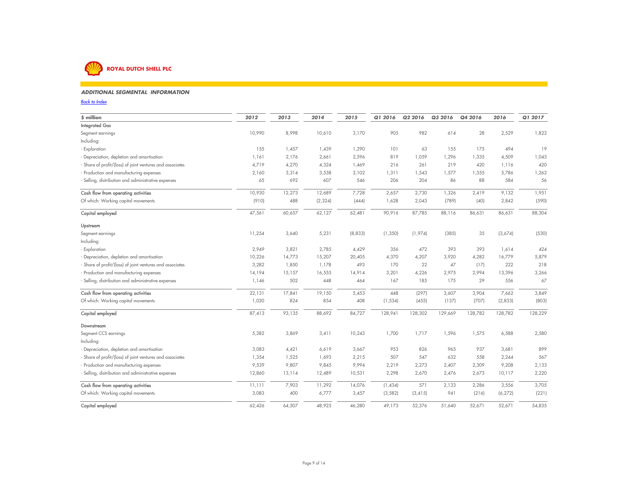

### *ADDITIONAL SEGMENTAL INFORMATION* $80$

*Back to Index* $\mathbf{x}$ 

| \$ million                                                | 2012   | 2013   | 2014     | 2015    | Q1 2016  | Q2 2016  | Q3 2016 | Q4 2016 | 2016     | Q1 2017 |
|-----------------------------------------------------------|--------|--------|----------|---------|----------|----------|---------|---------|----------|---------|
| <b>Integrated Gas</b>                                     |        |        |          |         |          |          |         |         |          |         |
| Segment earnings                                          | 10,990 | 8,998  | 10,610   | 3,170   | 905      | 982      | 614     | 28      | 2,529    | 1,822   |
| Including:                                                |        |        |          |         |          |          |         |         |          |         |
| - Exploration                                             | 155    | 1,457  | 1,439    | 1,290   | 101      | 63       | 155     | 175     | 494      | 19      |
| - Depreciation, depletion and amortisation                | 1,161  | 2,176  | 2,661    | 2,596   | 819      | 1,059    | 1,296   | 1,335   | 4,509    | 1,043   |
| - Share of profit/(loss) of joint ventures and associates | 4,719  | 4,270  | 4,324    | 1,469   | 216      | 261      | 219     | 420     | 1,116    | 420     |
| - Production and manufacturing expenses                   | 2,160  | 3,314  | 3,538    | 3,102   | 1,311    | 1,543    | 1,577   | 1,355   | 5,786    | 1,262   |
| - Selling, distribution and administrative expenses       | 65     | 692    | 607      | 546     | 206      | 204      | 86      | 88      | 584      | 56      |
| Cash flow from operating activities                       | 10,930 | 12,273 | 12,689   | 7,728   | 2,657    | 2,730    | 1,326   | 2,419   | 9,132    | 1,951   |
| Of which: Working capital movements                       | (910)  | 488    | (2, 324) | (444)   | 1,628    | 2,043    | (789)   | (40)    | 2,842    | (590)   |
| Capital employed                                          | 47,561 | 60,657 | 62,127   | 62,481  | 90,916   | 87,785   | 88,116  | 86,631  | 86,631   | 88,304  |
| Upstream                                                  |        |        |          |         |          |          |         |         |          |         |
| Segment earnings                                          | 11,254 | 3,640  | 5,231    | (8,833) | (1, 350) | (1,974)  | (385)   | 35      | (3,674)  | (530)   |
| Including:                                                |        |        |          |         |          |          |         |         |          |         |
| - Exploration                                             | 2,949  | 3,821  | 2,785    | 4,429   | 356      | 472      | 393     | 393     | 1,614    | 424     |
| - Depreciation, depletion and amortisation                | 10,226 | 14,773 | 15,207   | 20,405  | 4,370    | 4,207    | 3,920   | 4,282   | 16,779   | 5,879   |
| - Share of profit/(loss) of joint ventures and associates | 3,282  | 1,850  | 1,178    | 493     | 170      | 22       | 47      | (17)    | 222      | 218     |
| - Production and manufacturing expenses                   | 14,194 | 15,157 | 16,555   | 14,914  | 3,201    | 4,226    | 2,975   | 2,994   | 13,396   | 3,266   |
| - Selling, distribution and administrative expenses       | 1,146  | 502    | 448      | 464     | 167      | 185      | 175     | 29      | 556      | 67      |
| Cash flow from operating activities                       | 22,131 | 17,841 | 19,150   | 5,453   | 448      | (297)    | 3,607   | 3,904   | 7,662    | 3,849   |
| Of which: Working capital movements                       | 1,020  | 824    | 854      | 408     | (1, 534) | (455)    | (137)   | (707)   | (2,833)  | (803)   |
| Capital employed                                          | 87,413 | 93,135 | 88,692   | 84,727  | 128,941  | 128,302  | 129,669 | 128,782 | 128,782  | 128,229 |
| Downstream                                                |        |        |          |         |          |          |         |         |          |         |
| Segment CCS earnings                                      | 5,382  | 3,869  | 3,411    | 10,243  | 1,700    | 1,717    | 1,596   | 1,575   | 6,588    | 2,580   |
| Including:                                                |        |        |          |         |          |          |         |         |          |         |
| - Depreciation, depletion and amortisation                | 3,083  | 4,421  | 6,619    | 3,667   | 953      | 826      | 965     | 937     | 3,681    | 899     |
| - Share of profit/(loss) of joint ventures and associates | 1,354  | 1,525  | 1,693    | 2,215   | 507      | 547      | 632     | 558     | 2,244    | 567     |
| - Production and manufacturing expenses                   | 9,539  | 9,807  | 9,845    | 9,994   | 2,219    | 2,273    | 2,407   | 2,309   | 9,208    | 2,133   |
| - Selling, distribution and administrative expenses       | 12,860 | 13,114 | 12,489   | 10,531  | 2,298    | 2,670    | 2,476   | 2,673   | 10,117   | 2,220   |
| Cash flow from operating activities                       | 11,111 | 7,903  | 11,292   | 14,076  | (1,434)  | 571      | 2,133   | 2,286   | 3,556    | 3,705   |
| Of which: Working capital movements                       | 3,083  | 400    | 6,777    | 3,457   | (3, 582) | (3, 415) | 941     | (216)   | (6, 272) | (221)   |
| Capital employed                                          | 62,426 | 64.507 | 48.925   | 46,280  | 49,173   | 52,376   | 51,640  | 52,671  | 52,671   | 54,835  |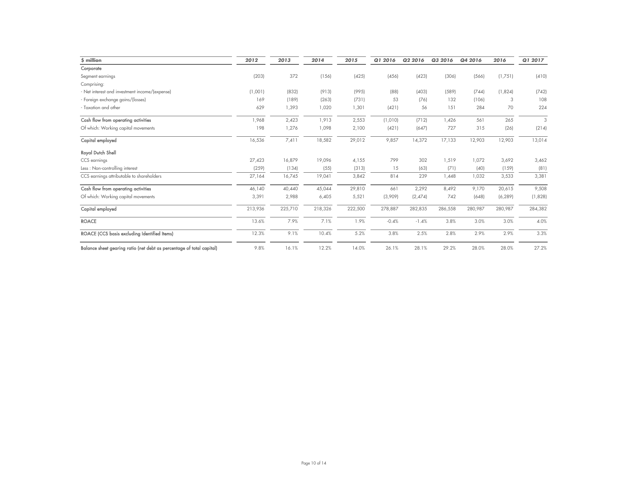| \$ million                                                            | 2012    | 2013    | 2014    | 2015    | Q1 2016 | Q2 2016 | Q3 2016 | Q4 2016 | 2016     | Q1 2017 |
|-----------------------------------------------------------------------|---------|---------|---------|---------|---------|---------|---------|---------|----------|---------|
| Corporate                                                             |         |         |         |         |         |         |         |         |          |         |
| Segment earnings                                                      | (203)   | 372     | (156)   | (425)   | (456)   | (423)   | (306)   | (566)   | (1,751)  | (410)   |
| Comprising:                                                           |         |         |         |         |         |         |         |         |          |         |
| - Net interest and investment income/(expense)                        | (1,001) | (832)   | (913)   | (995)   | (88)    | (403)   | (589)   | (744)   | (1,824)  | (742)   |
| - Foreign exchange gains/(losses)                                     | 169     | (189)   | (263)   | (731)   | 53      | (76)    | 132     | (106)   | 3        | 108     |
| - Taxation and other                                                  | 629     | 1,393   | 1,020   | 1,301   | (421)   | 56      | 151     | 284     | 70       | 224     |
| Cash flow from operating activities                                   | 1,968   | 2,423   | 1,913   | 2,553   | (1,010) | (712)   | ,426    | 561     | 265      | 3       |
| Of which: Working capital movements                                   | 198     | 1,276   | 1,098   | 2,100   | (421)   | (647)   | 727     | 315     | (26)     | (214)   |
| Capital employed                                                      | 16,536  | 7,411   | 18,582  | 29,012  | 9,857   | 14,372  | 17,133  | 12,903  | 12,903   | 13,014  |
| Royal Dutch Shell                                                     |         |         |         |         |         |         |         |         |          |         |
| CCS earnings                                                          | 27,423  | 16,879  | 19,096  | 4,155   | 799     | 302     | 1,519   | 1,072   | 3,692    | 3,462   |
| Less: Non-controlling interest                                        | (259)   | (134)   | (55)    | (313)   | 15      | (63)    | (71)    | (40)    | (159)    | (81)    |
| CCS earnings attributable to shareholders                             | 27,164  | 16,745  | 19,041  | 3,842   | 814     | 239     | 448,    | 1,032   | 3,533    | 3,381   |
| Cash flow from operating activities                                   | 46,140  | 40,440  | 45,044  | 29,810  | 661     | 2,292   | 8,492   | 9,170   | 20,615   | 9,508   |
| Of which: Working capital movements                                   | 3,391   | 2,988   | 6,405   | 5,521   | (3,909) | (2,474) | 742     | (648)   | (6, 289) | (1,828) |
| Capital employed                                                      | 213,936 | 225,710 | 218,326 | 222,500 | 278,887 | 282,835 | 286,558 | 280,987 | 280,987  | 284,382 |
| <b>ROACE</b>                                                          | 13.6%   | 7.9%    | 7.1%    | 1.9%    | $-0.4%$ | $-1.4%$ | 3.8%    | 3.0%    | 3.0%     | 4.0%    |
| ROACE (CCS basis excluding Identified Items)                          | 12.3%   | 9.1%    | 10.4%   | 5.2%    | 3.8%    | 2.5%    | 2.8%    | 2.9%    | 2.9%     | 3.3%    |
| Balance sheet gearing ratio (net debt as percentage of total capital) | 9.8%    | 16.1%   | 12.2%   | 14.0%   | 26.1%   | 28.1%   | 29.2%   | 28.0%   | 28.0%    | 27.2%   |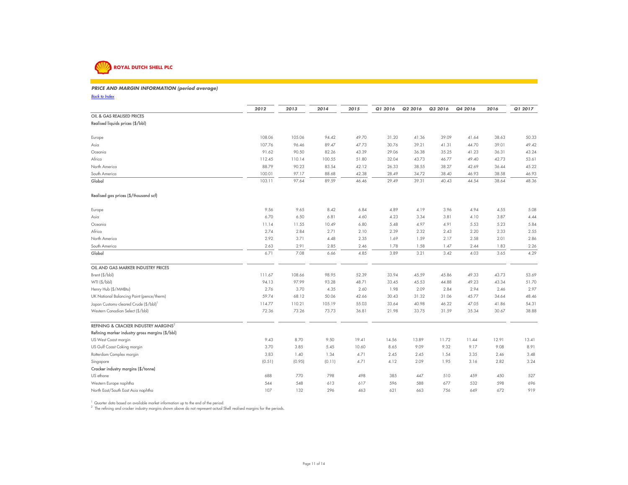

### **PRICE AND MARGIN INFORMATION (period average)**

*Back to Index*

|                                                   | 2012   | 2013   | 2014   | 2015  | Q1 2016 | Q2 2016 | Q3 2016 | Q4 2016 | 2016  | Q1 2017 |
|---------------------------------------------------|--------|--------|--------|-------|---------|---------|---------|---------|-------|---------|
| OIL & GAS REALISED PRICES                         |        |        |        |       |         |         |         |         |       |         |
| Realised liquids prices (\$/bbl)                  |        |        |        |       |         |         |         |         |       |         |
| Europe                                            | 108.06 | 105.06 | 94.42  | 49.70 | 31.20   | 41.36   | 39.09   | 41.64   | 38.63 | 50.33   |
| Asia                                              | 107.76 | 96.46  | 89.47  | 47.73 | 30.76   | 39.21   | 41.31   | 44.70   | 39.01 | 49.42   |
| Oceania                                           | 91.62  | 90.50  | 82.26  | 43.39 | 29.06   | 36.38   | 35.25   | 41.23   | 36.31 | 43.24   |
| Africa                                            | 112.45 | 110.14 | 100.55 | 51.80 | 32.04   | 43.73   | 46.77   | 49.40   | 42.73 | 53.61   |
| North America                                     | 88.79  | 90.23  | 83.54  | 42.12 | 26.33   | 38.55   | 38.27   | 42.69   | 36.44 | 45.22   |
| South America                                     | 100.01 | 97.17  | 88.68  | 42.38 | 28.49   | 34.72   | 38.40   | 46.93   | 38.58 | 46.93   |
| Global                                            | 103.11 | 97.64  | 89.59  | 46.46 | 29.49   | 39.31   | 40.43   | 44.54   | 38.64 | 48.36   |
| Realised gas prices (\$/thousand scf)             |        |        |        |       |         |         |         |         |       |         |
| Europe                                            | 9.56   | 9.65   | 8.42   | 6.84  | 4.89    | 4.19    | 3.96    | 4.94    | 4.55  | 5.08    |
| Asia                                              | 6.70   | 6.50   | 6.81   | 4.60  | 4.23    | 3.34    | 3.81    | 4.10    | 3.87  | 4.44    |
| Oceania                                           | 11.14  | 11.55  | 10.49  | 6.80  | 5.48    | 4.97    | 4.91    | 5.53    | 5.23  | 5.84    |
| Africa                                            | 2.74   | 2.84   | 2.71   | 2.10  | 2.39    | 2.32    | 2.43    | 2.20    | 2.33  | 2.55    |
| North America                                     | 2.92   | 3.71   | 4.48   | 2.35  | 1.69    | 1.59    | 2.17    | 2.58    | 2.01  | 2.86    |
| South America                                     | 2.63   | 2.91   | 2.85   | 2.46  | 1.78    | 1.58    | 1.47    | 2.44    | 1.83  | 2.26    |
| Global                                            | 6.71   | 7.08   | 6.66   | 4.85  | 3.89    | 3.21    | 3.42    | 4.03    | 3.65  | 4.29    |
| OIL AND GAS MARKER INDUSTRY PRICES                |        |        |        |       |         |         |         |         |       |         |
| Brent (\$/bbl)                                    | 111.67 | 108.66 | 98.95  | 52.39 | 33.94   | 45.59   | 45.86   | 49.33   | 43.73 | 53.69   |
| WTI (\$/bbl)                                      | 94.13  | 97.99  | 93.28  | 48.71 | 33.45   | 45.53   | 44.88   | 49.23   | 43.34 | 51.70   |
| Henry Hub (\$/MMBtu)                              | 2.76   | 3.70   | 4.35   | 2.60  | 1.98    | 2.09    | 2.84    | 2.94    | 2.46  | 2.97    |
| UK National Balancing Point (pence/therm)         | 59.74  | 68.12  | 50.06  | 42.66 | 30.43   | 31.32   | 31.06   | 45.77   | 34.64 | 48.46   |
| Japan Customs-cleared Crude (\$/bbl) <sup>1</sup> | 114.77 | 110.21 | 105.19 | 55.03 | 33.64   | 40.98   | 46.22   | 47.05   | 41.86 | 54.31   |
| Western Canadian Select (\$/bbl)                  | 72.36  | 73.26  | 73.73  | 36.81 | 21.98   | 33.75   | 31.59   | 35.34   | 30.67 | 38.88   |
| REFINING & CRACKER INDUSTRY MARGINS <sup>2</sup>  |        |        |        |       |         |         |         |         |       |         |
| Refining marker industry gross margins (\$/bbl)   |        |        |        |       |         |         |         |         |       |         |
| US West Coast margin                              | 9.43   | 8.70   | 9.50   | 19.41 | 14.56   | 13.89   | 11.72   | 11.44   | 12.91 | 13.41   |
| US Gulf Coast Coking margin                       | 3.70   | 3.85   | 5.45   | 10.60 | 8.65    | 9.09    | 9.32    | 9.17    | 9.08  | 8.91    |
| Rotterdam Complex margin                          | 3.83   | 1.40   | 1.34   | 4.71  | 2.45    | 2.45    | 1.54    | 3.35    | 2.46  | 3.48    |
| Singapore                                         | (0.51) | (0.95) | (0.11) | 4.71  | 4.12    | 2.09    | 1.95    | 3.16    | 2.82  | 3.24    |
| Cracker industry margins (\$/tonne)               |        |        |        |       |         |         |         |         |       |         |
| US ethane                                         | 688    | 770    | 798    | 498   | 385     | 447     | 510     | 459     | 450   | 527     |
| Western Europe naphtha                            | 544    | 548    | 613    | 617   | 596     | 588     | 677     | 532     | 598   | 696     |
| North East/South East Asia naphtha                | 107    | 132    | 296    | 463   | 621     | 663     | 756     | 649     | 672   | 919     |

<sup>1</sup> Quarter data based on available market information up to the end of the period.<br><sup>2</sup> The refining and cracker industry margins shown above do not represent actual Shell realised margins for the periods.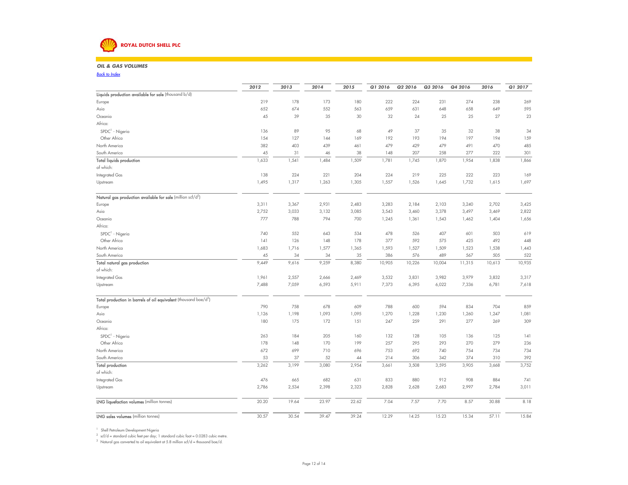## **ROYAL DUTCH SHELL PLC**

### *OIL & GAS VOLUMES* $\mathcal{S}$

*Back to Index*

|                                                                              | 2012  | 2013  | 2014  | 2015  | Q1 2016 | Q2 2016 | Q3 2016 | Q4 2016 | 2016   | Q1 2017 |
|------------------------------------------------------------------------------|-------|-------|-------|-------|---------|---------|---------|---------|--------|---------|
| Liquids production available for sale (thousand b/d)                         |       |       |       |       |         |         |         |         |        |         |
| Europe                                                                       | 219   | 178   | 173   | 180   | 222     | 224     | 231     | 274     | 238    | 269     |
| Asia                                                                         | 652   | 674   | 552   | 563   | 659     | 631     | 648     | 658     | 649    | 595     |
| Oceania                                                                      | 45    | 39    | 35    | 30    | 32      | 24      | 25      | 25      | 27     | 23      |
| Africa:                                                                      |       |       |       |       |         |         |         |         |        |         |
| SPDC <sup>1</sup> - Nigeria                                                  | 136   | 89    | 95    | 68    | 49      | 37      | 35      | 32      | 38     | 34      |
| Other Africa                                                                 | 154   | 127   | 144   | 169   | 192     | 193     | 194     | 197     | 194    | 159     |
| North America                                                                | 382   | 403   | 439   | 461   | 479     | 429     | 479     | 491     | 470    | 485     |
| South America                                                                | 45    | 31    | 46    | 38    | 148     | 207     | 258     | 277     | 222    | 301     |
| <b>Total liquids production</b>                                              | 1,633 | 1,541 | 1,484 | 1,509 | 1,781   | 1,745   | 1,870   | 1,954   | 1,838  | 1,866   |
| of which:                                                                    |       |       |       |       |         |         |         |         |        |         |
| Integrated Gas                                                               | 138   | 224   | 221   | 204   | 224     | 219     | 225     | 222     | 223    | 169     |
| Upstream                                                                     | 1,495 | 1,317 | 1,263 | 1,305 | 1,557   | 1,526   | 1,645   | 1,732   | 1,615  | 1,697   |
|                                                                              |       |       |       |       |         |         |         |         |        |         |
| Natural gas production available for sale (million scf/d <sup>2</sup> )      |       |       |       |       |         |         |         |         |        |         |
| Europe                                                                       | 3,311 | 3,367 | 2,931 | 2,483 | 3,283   | 2,184   | 2,103   | 3,240   | 2,702  | 3,425   |
| Asia                                                                         | 2,752 | 3,033 | 3,132 | 3,085 | 3,543   | 3,460   | 3,378   | 3,497   | 3,469  | 2,822   |
| Oceania                                                                      | 777   | 788   | 794   | 700   | 1,245   | 1,361   | 1,543   | 1,462   | 1,404  | 1,656   |
| Africa:                                                                      |       |       |       |       |         |         |         |         |        |         |
| $SPDC1 - Nigeria$                                                            | 740   | 552   | 643   | 534   | 478     | 526     | 407     | 601     | 503    | 619     |
| Other Africa                                                                 | 4     | 126   | 148   | 178   | 377     | 592     | 575     | 425     | 492    | 448     |
| North America                                                                | 1,683 | 1,716 | 1,577 | 1,365 | 1,593   | 1,527   | 1,509   | 1,523   | 1,538  | 1,443   |
| South America                                                                | 45    | 34    | 34    | 35    | 386     | 576     | 489     | 567     | 505    | 522     |
| Total natural gas production                                                 | 9,449 | 9,616 | 9,259 | 8,380 | 10,905  | 10,226  | 10,004  | 11,315  | 10,613 | 10,935  |
| of which:                                                                    |       |       |       |       |         |         |         |         |        |         |
| Integrated Gas                                                               | 1,961 | 2,557 | 2,666 | 2,469 | 3,532   | 3,831   | 3,982   | 3,979   | 3,832  | 3,317   |
| Upstream                                                                     | 7,488 | 7,059 | 6,593 | 5,911 | 7,373   | 6,395   | 6,022   | 7,336   | 6,781  | 7,618   |
|                                                                              |       |       |       |       |         |         |         |         |        |         |
| Total production in barrels of oil equivalent (thousand boe/d <sup>3</sup> ) |       |       |       |       |         |         |         |         |        |         |
| Europe                                                                       | 790   | 758   | 678   | 609   | 788     | 600     | 594     | 834     | 704    | 859     |
| Asia                                                                         | 1,126 | 1,198 | 1,093 | 1,095 | 1,270   | 1,228   | 1,230   | 1,260   | 1,247  | 1,081   |
| Oceania                                                                      | 180   | 175   | 172   | 151   | 247     | 259     | 291     | 277     | 269    | 309     |
| Africa:                                                                      |       |       |       |       |         |         |         |         |        |         |
| $SPDC1$ - Nigeria                                                            | 263   | 184   | 205   | 160   | 132     | 128     | 105     | 136     | 125    | 4       |
| Other Africa                                                                 | 178   | 148   | 170   | 199   | 257     | 295     | 293     | 270     | 279    | 236     |
| North America                                                                | 672   | 699   | 710   | 696   | 753     | 692     | 740     | 754     | 734    | 734     |
| South America                                                                | 53    | 37    | 52    | 44    | 214     | 306     | 342     | 374     | 310    | 392     |
| <b>Total production</b>                                                      | 3,262 | 3,199 | 3,080 | 2,954 | 3,661   | 3,508   | 3,595   | 3,905   | 3,668  | 3,752   |
| of which:                                                                    |       |       |       |       |         |         |         |         |        |         |
| Integrated Gas                                                               | 476   | 665   | 682   | 631   | 833     | 880     | 912     | 908     | 884    | 741     |
| Upstream                                                                     | 2,786 | 2,534 | 2,398 | 2,323 | 2,828   | 2,628   | 2,683   | 2,997   | 2,784  | 3,011   |
| <b>LNG liquefaction volumes</b> (million tonnes)                             | 20.20 | 19.64 | 23.97 | 22.62 | 7.04    | 7.57    | 7.70    | 8.57    | 30.88  | 8.18    |
| <b>LNG sales volumes</b> (million tonnes)                                    | 30.57 | 30.54 | 39.47 | 39.24 |         |         |         |         |        | 15.84   |
|                                                                              |       |       |       |       | 12.29   | 14.25   | 15.23   | 15.34   | 57.11  |         |

1 Shell Petroleum Development Nigeria<br><sup>2</sup> scf/d = standard cubic feet per day; 1 standard cubic foot = 0.0283 cubic metre.<br><sup>3</sup> Natural gas converted to oil equivalent at 5.8 million scf/d = thousand boe/d.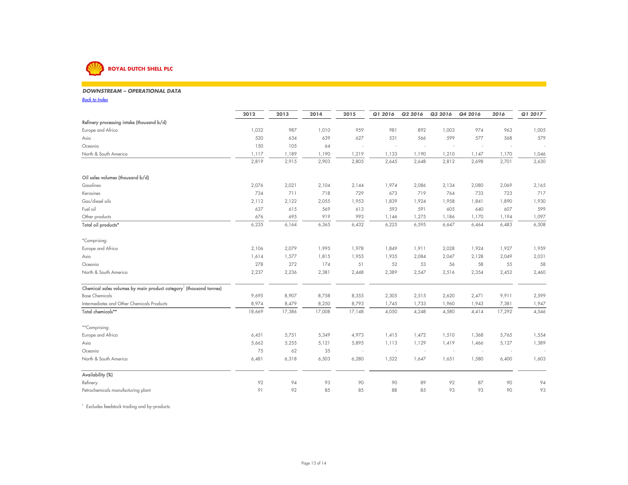

### *DOWNSTREAM – OPERATIONAL DATA* $\mathsf{A}$

*Back to Index*

|                                                                                | 2012   | 2013   | 2014   | 2015   | Q1 2016                  | Q2 2016                  | Q3 2016 | Q4 2016                  | 2016   | Q1 2017 |
|--------------------------------------------------------------------------------|--------|--------|--------|--------|--------------------------|--------------------------|---------|--------------------------|--------|---------|
| Refinery processing intake (thousand b/d)                                      |        |        |        |        |                          |                          |         |                          |        |         |
| Europe and Africa                                                              | 1,032  | 987    | 1,010  | 959    | 981                      | 892                      | 1,003   | 974                      | 963    | 1,005   |
| Asia                                                                           | 520    | 634    | 639    | 627    | 531                      | 566                      | 599     | 577                      | 568    | 579     |
| Oceania                                                                        | 150    | 105    | 64     | $\sim$ | $\overline{\phantom{a}}$ | $\overline{\phantom{a}}$ | $\sim$  | $\sim$                   |        |         |
| North & South America                                                          | 1,117  | 1,189  | 1,190  | 1,219  | 1,133                    | 1,190                    | 1,210   | 1,147                    | 1,170  | 1,046   |
|                                                                                | 2,819  | 2,915  | 2,903  | 2,805  | 2,645                    | 2,648                    | 2,812   | 2,698                    | 2,701  | 2,630   |
| Oil sales volumes (thousand b/d)                                               |        |        |        |        |                          |                          |         |                          |        |         |
| Gasolines                                                                      | 2,076  | 2,021  | 2,104  | 2,144  | 1,974                    | 2,086                    | 2,134   | 2,080                    | 2,069  | 2,165   |
| Kerosines                                                                      | 734    | 711    | 718    | 729    | 673                      | 719                      | 764     | 733                      | 723    | 717     |
| Gas/diesel oils                                                                | 2,112  | 2,122  | 2,055  | 1,953  | 1,839                    | 1,924                    | 1,958   | 1,841                    | 1,890  | 1,930   |
| Fuel oil                                                                       | 637    | 615    | 569    | 613    | 593                      | 591                      | 605     | 640                      | 607    | 599     |
| Other products                                                                 | 676    | 695    | 919    | 993    | 1,146                    | 1,275                    | 1,186   | 1,170                    | 1,194  | 1,097   |
| Total oil products*                                                            | 6,235  | 6,164  | 6,365  | 6,432  | 6,225                    | 6,595                    | 6,647   | 6,464                    | 6,483  | 6,508   |
| *Comprising:                                                                   |        |        |        |        |                          |                          |         |                          |        |         |
| Europe and Africa                                                              | 2,106  | 2,079  | 1,995  | 1,978  | 1,849                    | 1,911                    | 2,028   | 1,924                    | 1,927  | 1,959   |
| Asia                                                                           | 1,614  | 1,577  | 1,815  | 1,955  | 1,935                    | 2,084                    | 2,047   | 2,128                    | 2,049  | 2,031   |
| Oceania                                                                        | 278    | 272    | 174    | 51     | 52                       | 53                       | 56      | 58                       | 55     | 58      |
| North & South America                                                          | 2,237  | 2,236  | 2,381  | 2,448  | 2,389                    | 2,547                    | 2,516   | 2,354                    | 2,452  | 2,460   |
| Chemical sales volumes by main product category <sup>1</sup> (thousand tonnes) |        |        |        |        |                          |                          |         |                          |        |         |
| <b>Base Chemicals</b>                                                          | 9,695  | 8,907  | 8,758  | 8,355  | 2,305                    | 2,515                    | 2,620   | 2,471                    | 9,911  | 2,599   |
| Intermediates and Other Chemicals Products                                     | 8,974  | 8,479  | 8,250  | 8,793  | 1,745                    | 1,733                    | 1,960   | 1,943                    | 7,381  | 1,947   |
| Total chemicals**                                                              | 18,669 | 17,386 | 17,008 | 17,148 | 4,050                    | 4,248                    | 4,580   | 4,414                    | 17,292 | 4,546   |
| **Comprising:                                                                  |        |        |        |        |                          |                          |         |                          |        |         |
| Europe and Africa                                                              | 6,451  | 5,751  | 5,349  | 4,973  | 1,415                    | 1,472                    | 1,510   | 1,368                    | 5,765  | 1,554   |
| Asia                                                                           | 5,662  | 5,255  | 5,121  | 5,895  | 1,113                    | 1,129                    | 1,419   | 1,466                    | 5,127  | 1,389   |
| Oceania                                                                        | 75     | 62     | 35     | $\sim$ | $\overline{\phantom{a}}$ | $\overline{\phantom{a}}$ | $\sim$  | $\overline{\phantom{a}}$ |        |         |
| North & South America                                                          | 6,481  | 6,318  | 6,503  | 6,280  | 1,522                    | 1,647                    | 1,651   | 1,580                    | 6,400  | 1,603   |
| Availability (%)                                                               |        |        |        |        |                          |                          |         |                          |        |         |
| Refinery                                                                       | 92     | 94     | 93     | 90     | 90                       | 89                       | 92      | 87                       | 90     | 94      |
| Petrochemicals manufacturing plant                                             | 91     | 92     | 85     | 85     | 88                       | 85                       | 93      | 93                       | 90     | 93      |

1 Excludes feedstock trading and by-products.